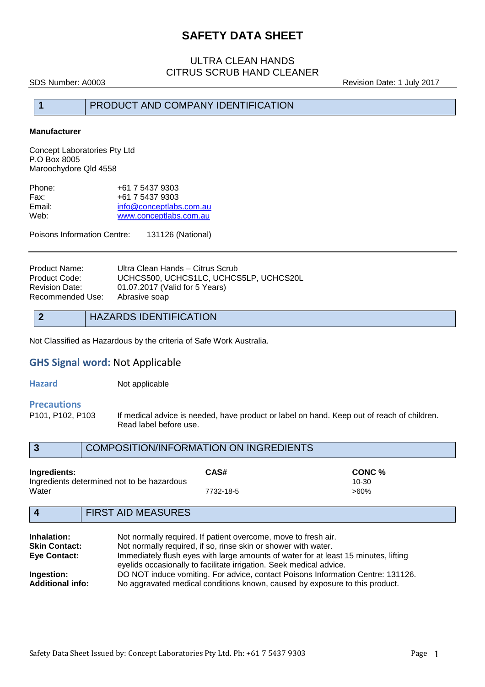### ULTRA CLEAN HANDS CITRUS SCRUB HAND CLEANER

SDS Number: A0003 Revision Date: 1 July 2017

#### **1** PRODUCT AND COMPANY IDENTIFICATION

#### **Manufacturer**

Concept Laboratories Pty Ltd P.O Box 8005 Maroochydore Qld 4558

| Phone: | +61 7 5437 9303         |
|--------|-------------------------|
| Fax:   | +61 7 5437 9303         |
| Email: | info@conceptlabs.com.au |
| Web:   | www.conceptlabs.com.au  |

Poisons Information Centre: 131126 (National)

| Ultra Clean Hands - Citrus Scrub       |
|----------------------------------------|
| UCHCS500, UCHCS1LC, UCHCS5LP, UCHCS20L |
| 01.07.2017 (Valid for 5 Years)         |
| Abrasive soap                          |
|                                        |

#### **2** HAZARDS IDENTIFICATION

Not Classified as Hazardous by the criteria of Safe Work Australia.

## **GHS Signal word:** Not Applicable

**Hazard Not applicable** 

# **Precautions**

If medical advice is needed, have product or label on hand. Keep out of reach of children. Read label before use.

|              | <b>COMPOSITION/INFORMATION ON INGREDIENTS</b> |         |  |
|--------------|-----------------------------------------------|---------|--|
| Ingredients: | CAS#                                          | CONC %  |  |
|              | Ingredients determined not to be hazardous    | 10-30   |  |
| Water        | 7732-18-5                                     | $>60\%$ |  |
|              |                                               |         |  |

## **4** FIRST AID MEASURES

| Inhalation:             | Not normally required. If patient overcome, move to fresh air.                                                                                             |
|-------------------------|------------------------------------------------------------------------------------------------------------------------------------------------------------|
| <b>Skin Contact:</b>    | Not normally required, if so, rinse skin or shower with water.                                                                                             |
| <b>Eye Contact:</b>     | Immediately flush eyes with large amounts of water for at least 15 minutes, lifting<br>eyelids occasionally to facilitate irrigation. Seek medical advice. |
| Ingestion:              | DO NOT induce vomiting. For advice, contact Poisons Information Centre: 131126.                                                                            |
| <b>Additional info:</b> | No aggravated medical conditions known, caused by exposure to this product.                                                                                |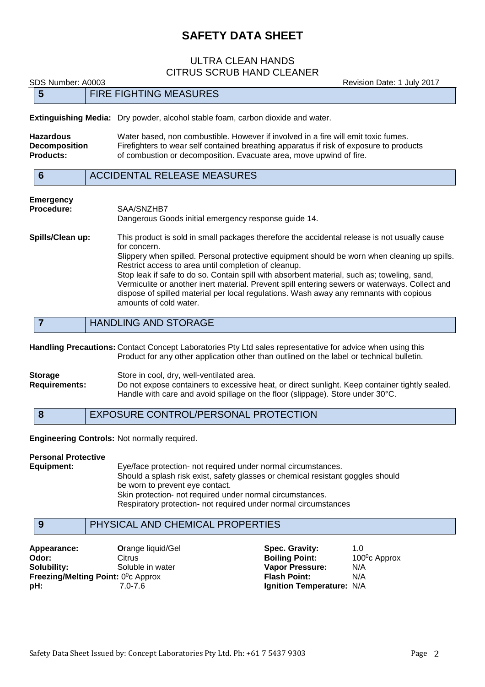#### ULTRA CLEAN HANDS CITRUS SCRUB HAND CLEANER

SDS Number: A0003 **Revision Date: 1 July 2017** 

|                                                              |  | <b>Extinguishing Media:</b> Dry powder, alcohol stable foam, carbon dioxide and water.                                                                                                                                                                                                                                                                                                                                                                                |
|--------------------------------------------------------------|--|-----------------------------------------------------------------------------------------------------------------------------------------------------------------------------------------------------------------------------------------------------------------------------------------------------------------------------------------------------------------------------------------------------------------------------------------------------------------------|
| <b>Hazardous</b><br><b>Decomposition</b><br><b>Products:</b> |  | Water based, non combustible. However if involved in a fire will emit toxic fumes.<br>Firefighters to wear self contained breathing apparatus if risk of exposure to products<br>of combustion or decomposition. Evacuate area, move upwind of fire.                                                                                                                                                                                                                  |
| $6\phantom{1}6$                                              |  | <b>ACCIDENTAL RELEASE MEASURES</b>                                                                                                                                                                                                                                                                                                                                                                                                                                    |
| <b>Emergency</b><br><b>Procedure:</b>                        |  | SAA/SNZHB7<br>Dangerous Goods initial emergency response guide 14.                                                                                                                                                                                                                                                                                                                                                                                                    |
| Spills/Clean up:                                             |  | This product is sold in small packages therefore the accidental release is not usually cause<br>for concern.<br>Slippery when spilled. Personal protective equipment should be worn when cleaning up spills.<br>Restrict access to area until completion of cleanup.<br>Stop leak if safe to do so. Contain spill with absorbent material, such as; toweling, sand,<br>Vermiculite or another inert material. Prevent spill entering sewers or waterways. Collect and |

dispose of spilled material per local regulations. Wash away any remnants with copious

**7** HANDLING AND STORAGE

amounts of cold water.

**5** FIRE FIGHTING MEASURES

**Handling Precautions:** Contact Concept Laboratories Pty Ltd sales representative for advice when using this Product for any other application other than outlined on the label or technical bulletin.

**Storage** Store in cool, dry, well-ventilated area. **Requirements:** Do not expose containers to excessive heat, or direct sunlight. Keep container tightly sealed. Handle with care and avoid spillage on the floor (slippage). Store under 30°C.

**8** EXPOSURE CONTROL/PERSONAL PROTECTION

**Engineering Controls:** Not normally required.

**Personal Protective**

**Equipment:** Eye/face protection- not required under normal circumstances. Should a splash risk exist, safety glasses or chemical resistant goggles should be worn to prevent eye contact. Skin protection- not required under normal circumstances. Respiratory protection- not required under normal circumstances

#### **9** PHYSICAL AND CHEMICAL PROPERTIES

**Appearance: C**range liquid/Gel **Spec. Gravity:** 1.0<br> **Odor:** Citrus Citrus **Citrus Boiling Point:** 100<sup>°</sup>c Approx **Odor:** Citrus **C**itrus **Boiling Point: Solubility:** Soluble in water **Vapor Pressure:** N/A **Freezing/Melting Point: 0°c Approx pH:** 7.0-7.6 **Ignition Temperature:** N/A

**Flash Point:** N/A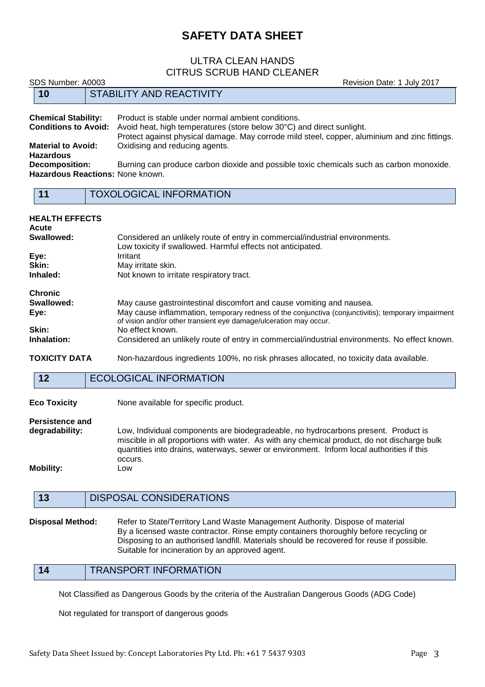#### ULTRA CLEAN HANDS CITRUS SCRUB HAND CLEANER

SDS Number: A0003 **Revision Date: 1 July 2017** 

| <b>Chemical Stability:</b>       | Product is stable under normal ambient conditions.                                            |
|----------------------------------|-----------------------------------------------------------------------------------------------|
| <b>Conditions to Avoid:</b>      | Avoid heat, high temperatures (store below 30°C) and direct sunlight.                         |
|                                  | Protect against physical damage. May corrode mild steel, copper, aluminium and zinc fittings. |
| <b>Material to Avoid:</b>        | Oxidising and reducing agents.                                                                |
| <b>Hazardous</b>                 |                                                                                               |
| <b>Decomposition:</b>            | Burning can produce carbon dioxide and possible toxic chemicals such as carbon monoxide.      |
| Hazardous Reactions: None known. |                                                                                               |
|                                  |                                                                                               |

| <b>Contract Contract Contract Contract Contract Contract Contract Contract Contract Contract Contract Contract Co</b><br>٠<br>٠<br>w | <b>Contract Contract Contract Contract Contract Contract Contract Contract Contract Contract Contract Contract Co</b><br><b>Contract Contract Contract Contract Contract Contract Contract Contract Contract Contract Contract Contract Co</b><br><b>Service Service</b> |  |
|--------------------------------------------------------------------------------------------------------------------------------------|--------------------------------------------------------------------------------------------------------------------------------------------------------------------------------------------------------------------------------------------------------------------------|--|
|                                                                                                                                      |                                                                                                                                                                                                                                                                          |  |

**11** TOXOLOGICAL INFORMATION

**10** STABILITY AND REACTIVITY

| <b>HEALTH EFFECTS</b><br>Acute |                                                                                                                                                                          |
|--------------------------------|--------------------------------------------------------------------------------------------------------------------------------------------------------------------------|
| Swallowed:                     | Considered an unlikely route of entry in commercial/industrial environments.<br>Low toxicity if swallowed. Harmful effects not anticipated.                              |
| Eye:                           | Irritant                                                                                                                                                                 |
| Skin:                          | May irritate skin.                                                                                                                                                       |
| Inhaled:                       | Not known to irritate respiratory tract.                                                                                                                                 |
| <b>Chronic</b>                 |                                                                                                                                                                          |
| Swallowed:                     | May cause gastrointestinal discomfort and cause vomiting and nausea.                                                                                                     |
| Eye:                           | May cause inflammation, temporary redness of the conjunctiva (conjunctivitis); temporary impairment<br>of vision and/or other transient eye damage/ulceration may occur. |
| Skin:                          | No effect known.                                                                                                                                                         |
| Inhalation:                    | Considered an unlikely route of entry in commercial/industrial environments. No effect known.                                                                            |
| <b>TOXICITY DATA</b>           | Non-hazardous ingredients 100%, no risk phrases allocated, no toxicity data available.                                                                                   |

#### **12** ECOLOGICAL INFORMATION

**Eco Toxicity** None available for specific product.

**Persistence and**

**degradability:** Low, Individual components are biodegradeable, no hydrocarbons present. Product is miscible in all proportions with water. As with any chemical product, do not discharge bulk quantities into drains, waterways, sewer or environment. Inform local authorities if this occurs. **Mobility:** Low

## **13** DISPOSAL CONSIDERATIONS

**Disposal Method:** Refer to State/Territory Land Waste Management Authority. Dispose of material By a licensed waste contractor. Rinse empty containers thoroughly before recycling or Disposing to an authorised landfill. Materials should be recovered for reuse if possible. Suitable for incineration by an approved agent.

**14** TRANSPORT INFORMATION

Not Classified as Dangerous Goods by the criteria of the Australian Dangerous Goods (ADG Code)

Not regulated for transport of dangerous goods